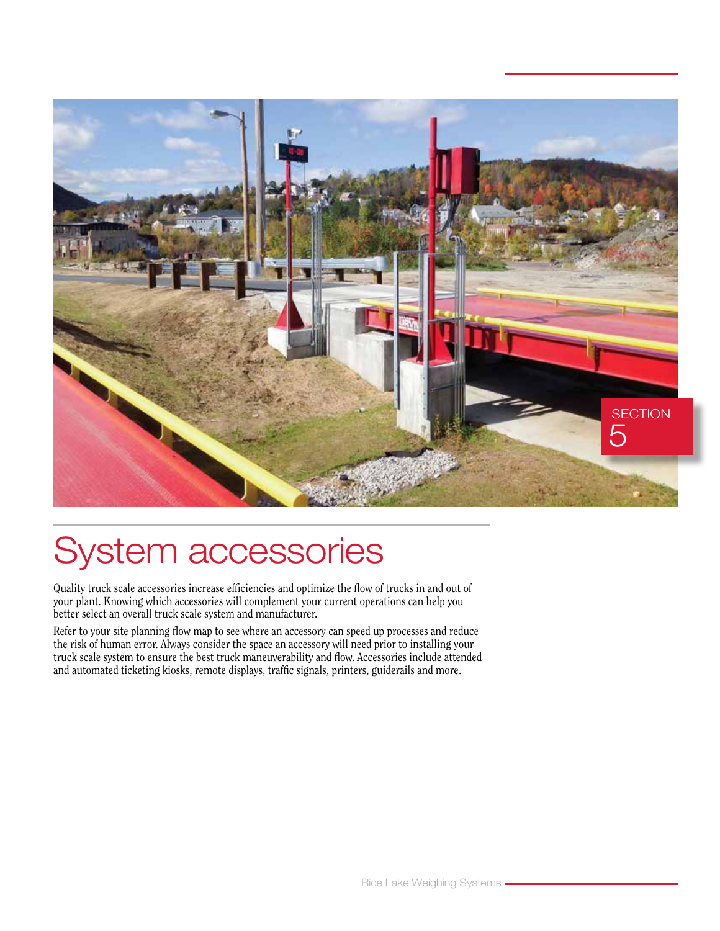

# System accessories

Quality truck scale accessories increase efficiencies and optimize the flow of trucks in and out of your plant. Knowing which accessories will complement your current operations can help you better select an overall truck scale system and manufacturer.

Refer to your site planning flow map to see where an accessory can speed up processes and reduce the risk of human error. Always consider the space an accessory will need prior to installing your truck scale system to ensure the best truck maneuverability and flow. Accessories include attended and automated ticketing kiosks, remote displays, traffic signals, printers, guiderails and more.